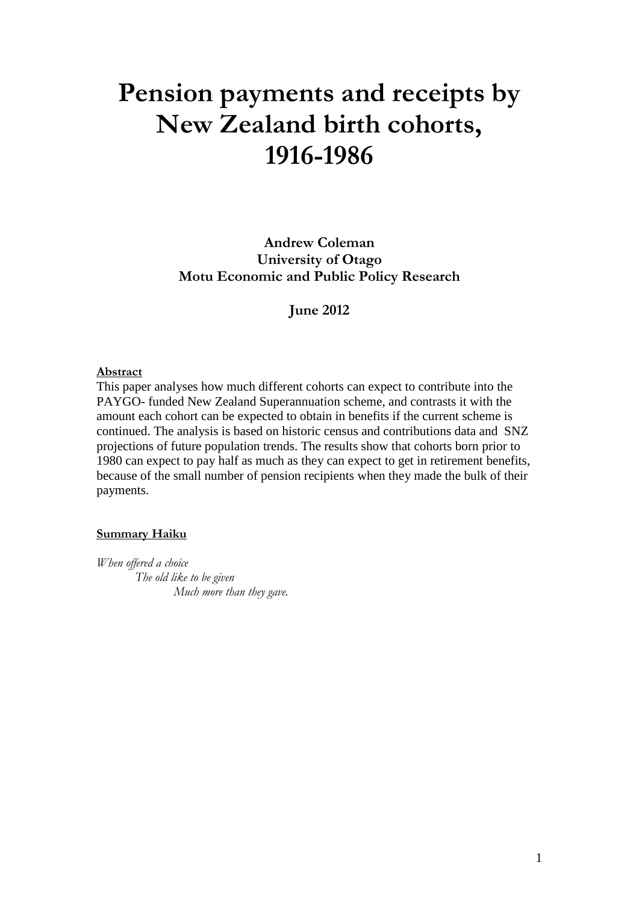# **Pension payments and receipts by New Zealand birth cohorts, 1916-1986**

**Andrew Coleman University of Otago Motu Economic and Public Policy Research**

**June 2012**

#### **Abstract**

This paper analyses how much different cohorts can expect to contribute into the PAYGO- funded New Zealand Superannuation scheme, and contrasts it with the amount each cohort can be expected to obtain in benefits if the current scheme is continued. The analysis is based on historic census and contributions data and SNZ projections of future population trends. The results show that cohorts born prior to 1980 can expect to pay half as much as they can expect to get in retirement benefits, because of the small number of pension recipients when they made the bulk of their payments.

#### **Summary Haiku**

*When offered a choice The old like to be given Much more than they gave.*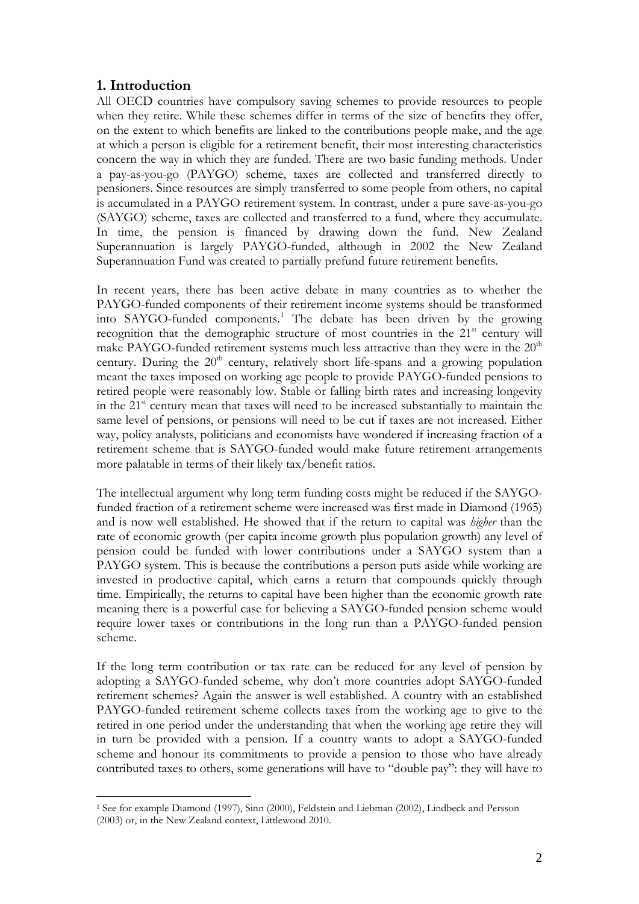## **1. Introduction**

All OECD countries have compulsory saving schemes to provide resources to people when they retire. While these schemes differ in terms of the size of benefits they offer, on the extent to which benefits are linked to the contributions people make, and the age at which a person is eligible for a retirement benefit, their most interesting characteristics concern the way in which they are funded. There are two basic funding methods. Under a pay-as-you-go (PAYGO) scheme, taxes are collected and transferred directly to pensioners. Since resources are simply transferred to some people from others, no capital is accumulated in a PAYGO retirement system. In contrast, under a pure save-as-you-go (SAYGO) scheme, taxes are collected and transferred to a fund, where they accumulate. In time, the pension is financed by drawing down the fund. New Zealand Superannuation is largely PAYGO-funded, although in 2002 the New Zealand Superannuation Fund was created to partially prefund future retirement benefits.

In recent years, there has been active debate in many countries as to whether the PAYGO-funded components of their retirement income systems should be transformed into SAYGO-funded components.<sup>[1](#page-1-0)</sup> The debate has been driven by the growing recognition that the demographic structure of most countries in the  $21<sup>st</sup>$  century will make PAYGO-funded retirement systems much less attractive than they were in the  $20<sup>th</sup>$ century. During the  $20<sup>th</sup>$  century, relatively short life-spans and a growing population meant the taxes imposed on working age people to provide PAYGO-funded pensions to retired people were reasonably low. Stable or falling birth rates and increasing longevity in the  $21<sup>st</sup>$  century mean that taxes will need to be increased substantially to maintain the same level of pensions, or pensions will need to be cut if taxes are not increased. Either way, policy analysts, politicians and economists have wondered if increasing fraction of a retirement scheme that is SAYGO-funded would make future retirement arrangements more palatable in terms of their likely tax/benefit ratios.

The intellectual argument why long term funding costs might be reduced if the SAYGOfunded fraction of a retirement scheme were increased was first made in Diamond (1965) and is now well established. He showed that if the return to capital was *higher* than the rate of economic growth (per capita income growth plus population growth) any level of pension could be funded with lower contributions under a SAYGO system than a PAYGO system. This is because the contributions a person puts aside while working are invested in productive capital, which earns a return that compounds quickly through time. Empirically, the returns to capital have been higher than the economic growth rate meaning there is a powerful case for believing a SAYGO-funded pension scheme would require lower taxes or contributions in the long run than a PAYGO-funded pension scheme.

If the long term contribution or tax rate can be reduced for any level of pension by adopting a SAYGO-funded scheme, why don't more countries adopt SAYGO-funded retirement schemes? Again the answer is well established. A country with an established PAYGO-funded retirement scheme collects taxes from the working age to give to the retired in one period under the understanding that when the working age retire they will in turn be provided with a pension. If a country wants to adopt a SAYGO-funded scheme and honour its commitments to provide a pension to those who have already contributed taxes to others, some generations will have to "double pay": they will have to

<span id="page-1-0"></span><sup>-</sup><sup>1</sup> See for example Diamond (1997), Sinn (2000), Feldstein and Liebman (2002), Lindbeck and Persson (2003) or, in the New Zealand context, Littlewood 2010.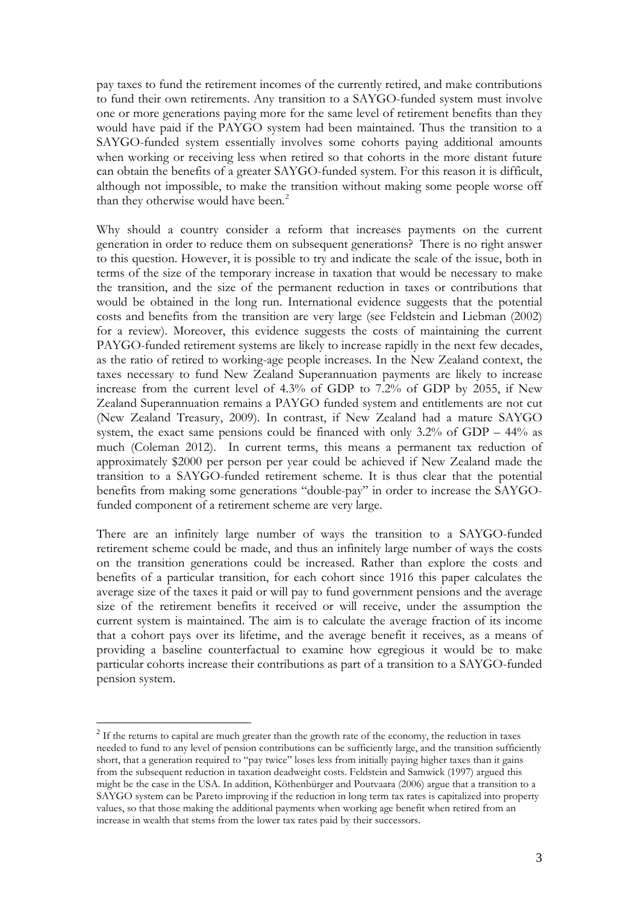pay taxes to fund the retirement incomes of the currently retired, and make contributions to fund their own retirements. Any transition to a SAYGO-funded system must involve one or more generations paying more for the same level of retirement benefits than they would have paid if the PAYGO system had been maintained. Thus the transition to a SAYGO-funded system essentially involves some cohorts paying additional amounts when working or receiving less when retired so that cohorts in the more distant future can obtain the benefits of a greater SAYGO-funded system. For this reason it is difficult, although not impossible, to make the transition without making some people worse off than they otherwise would have been.<sup>[2](#page-2-0)</sup>

Why should a country consider a reform that increases payments on the current generation in order to reduce them on subsequent generations? There is no right answer to this question. However, it is possible to try and indicate the scale of the issue, both in terms of the size of the temporary increase in taxation that would be necessary to make the transition, and the size of the permanent reduction in taxes or contributions that would be obtained in the long run. International evidence suggests that the potential costs and benefits from the transition are very large (see Feldstein and Liebman (2002) for a review). Moreover, this evidence suggests the costs of maintaining the current PAYGO-funded retirement systems are likely to increase rapidly in the next few decades, as the ratio of retired to working-age people increases. In the New Zealand context, the taxes necessary to fund New Zealand Superannuation payments are likely to increase increase from the current level of 4.3% of GDP to 7.2% of GDP by 2055, if New Zealand Superannuation remains a PAYGO funded system and entitlements are not cut (New Zealand Treasury, 2009). In contrast, if New Zealand had a mature SAYGO system, the exact same pensions could be financed with only  $3.2\%$  of GDP –  $44\%$  as much (Coleman 2012). In current terms, this means a permanent tax reduction of approximately \$2000 per person per year could be achieved if New Zealand made the transition to a SAYGO-funded retirement scheme. It is thus clear that the potential benefits from making some generations "double-pay" in order to increase the SAYGOfunded component of a retirement scheme are very large.

There are an infinitely large number of ways the transition to a SAYGO-funded retirement scheme could be made, and thus an infinitely large number of ways the costs on the transition generations could be increased. Rather than explore the costs and benefits of a particular transition, for each cohort since 1916 this paper calculates the average size of the taxes it paid or will pay to fund government pensions and the average size of the retirement benefits it received or will receive, under the assumption the current system is maintained. The aim is to calculate the average fraction of its income that a cohort pays over its lifetime, and the average benefit it receives, as a means of providing a baseline counterfactual to examine how egregious it would be to make particular cohorts increase their contributions as part of a transition to a SAYGO-funded pension system.

<span id="page-2-0"></span> $2\text{ If the returns to capital are much greater than the growth rate of the economy, the reduction in taxes.}$ needed to fund to any level of pension contributions can be sufficiently large, and the transition sufficiently short, that a generation required to "pay twice" loses less from initially paying higher taxes than it gains from the subsequent reduction in taxation deadweight costs. Feldstein and Samwick (1997) argued this might be the case in the USA. In addition, Köthenbürger and Poutvaara (2006) argue that a transition to a SAYGO system can be Pareto improving if the reduction in long term tax rates is capitalized into property values, so that those making the additional payments when working age benefit when retired from an increase in wealth that stems from the lower tax rates paid by their successors.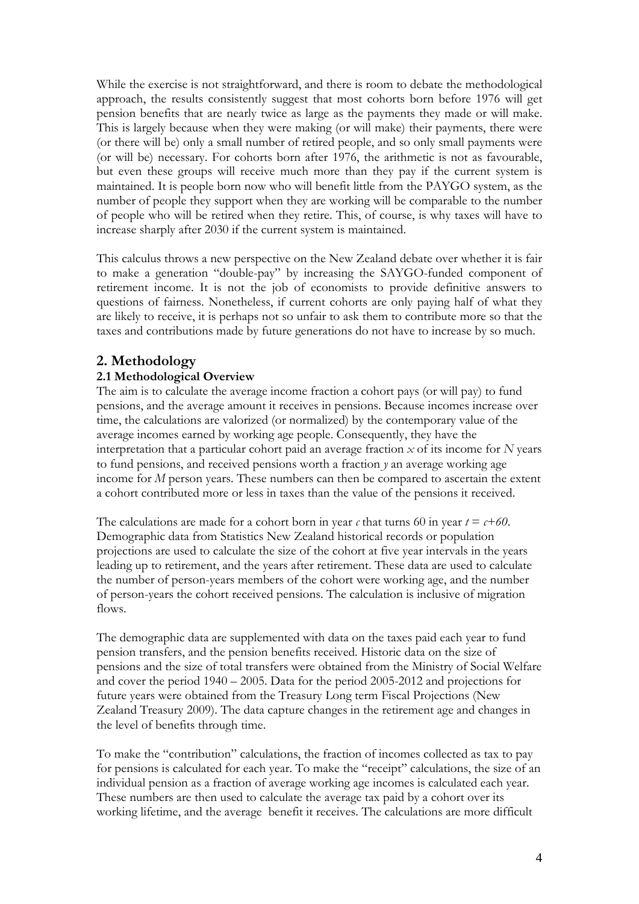While the exercise is not straightforward, and there is room to debate the methodological approach, the results consistently suggest that most cohorts born before 1976 will get pension benefits that are nearly twice as large as the payments they made or will make. This is largely because when they were making (or will make) their payments, there were (or there will be) only a small number of retired people, and so only small payments were (or will be) necessary. For cohorts born after 1976, the arithmetic is not as favourable, but even these groups will receive much more than they pay if the current system is maintained. It is people born now who will benefit little from the PAYGO system, as the number of people they support when they are working will be comparable to the number of people who will be retired when they retire. This, of course, is why taxes will have to increase sharply after 2030 if the current system is maintained.

This calculus throws a new perspective on the New Zealand debate over whether it is fair to make a generation "double-pay" by increasing the SAYGO-funded component of retirement income. It is not the job of economists to provide definitive answers to questions of fairness. Nonetheless, if current cohorts are only paying half of what they are likely to receive, it is perhaps not so unfair to ask them to contribute more so that the taxes and contributions made by future generations do not have to increase by so much.

# **2. Methodology**

## **2.1 Methodological Overview**

The aim is to calculate the average income fraction a cohort pays (or will pay) to fund pensions, and the average amount it receives in pensions. Because incomes increase over time, the calculations are valorized (or normalized) by the contemporary value of the average incomes earned by working age people. Consequently, they have the interpretation that a particular cohort paid an average fraction *x* of its income for *N* years to fund pensions, and received pensions worth a fraction *y* an average working age income for *M* person years. These numbers can then be compared to ascertain the extent a cohort contributed more or less in taxes than the value of the pensions it received.

The calculations are made for a cohort born in year  $c$  that turns 60 in year  $t = c + 60$ . Demographic data from Statistics New Zealand historical records or population projections are used to calculate the size of the cohort at five year intervals in the years leading up to retirement, and the years after retirement. These data are used to calculate the number of person-years members of the cohort were working age, and the number of person-years the cohort received pensions. The calculation is inclusive of migration flows.

The demographic data are supplemented with data on the taxes paid each year to fund pension transfers, and the pension benefits received. Historic data on the size of pensions and the size of total transfers were obtained from the Ministry of Social Welfare and cover the period 1940 – 2005. Data for the period 2005-2012 and projections for future years were obtained from the Treasury Long term Fiscal Projections (New Zealand Treasury 2009). The data capture changes in the retirement age and changes in the level of benefits through time.

To make the "contribution" calculations, the fraction of incomes collected as tax to pay for pensions is calculated for each year. To make the "receipt" calculations, the size of an individual pension as a fraction of average working age incomes is calculated each year. These numbers are then used to calculate the average tax paid by a cohort over its working lifetime, and the average benefit it receives. The calculations are more difficult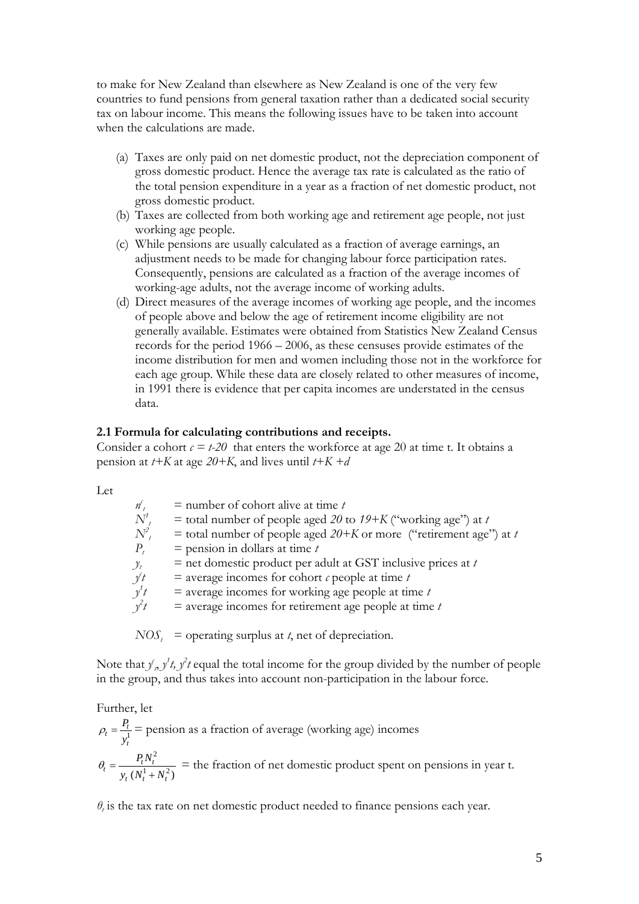to make for New Zealand than elsewhere as New Zealand is one of the very few countries to fund pensions from general taxation rather than a dedicated social security tax on labour income. This means the following issues have to be taken into account when the calculations are made.

- (a) Taxes are only paid on net domestic product, not the depreciation component of gross domestic product. Hence the average tax rate is calculated as the ratio of the total pension expenditure in a year as a fraction of net domestic product, not gross domestic product.
- (b) Taxes are collected from both working age and retirement age people, not just working age people.
- (c) While pensions are usually calculated as a fraction of average earnings, an adjustment needs to be made for changing labour force participation rates. Consequently, pensions are calculated as a fraction of the average incomes of working-age adults, not the average income of working adults.
- (d) Direct measures of the average incomes of working age people, and the incomes of people above and below the age of retirement income eligibility are not generally available. Estimates were obtained from Statistics New Zealand Census records for the period 1966 – 2006, as these censuses provide estimates of the income distribution for men and women including those not in the workforce for each age group. While these data are closely related to other measures of income, in 1991 there is evidence that per capita incomes are understated in the census data.

#### **2.1 Formula for calculating contributions and receipts.**

Consider a cohort  $c = t-20$  that enters the workforce at age 20 at time t. It obtains a pension at *t+K* at age *20+K*, and lives until *t+K +d*

Let

| n <sub>t</sub> | $=$ number of cohort alive at time t                                 |
|----------------|----------------------------------------------------------------------|
| $N^{\prime}$   | = total number of people aged 20 to $19+K$ ("working age") at t      |
| $N^2$          | = total number of people aged $20+K$ or more ("retirement age") at t |
| $P_{t}$        | $=$ pension in dollars at time t                                     |
| $y_t$          | $=$ net domestic product per adult at GST inclusive prices at t      |
| $y^{\ell}t$    | $\equiv$ average incomes for cohort $\ell$ people at time $t$        |
| $y^1$ t        | $=$ average incomes for working age people at time $t$               |
| $y^2t$         | $=$ average incomes for retirement age people at time $t$            |
|                |                                                                      |

 $NOS_t$  = operating surplus at *t*, net of depreciation.

Note that  $f_{\rho}$   $f_{\rho}$ ,  $f_{\rho}$  equal the total income for the group divided by the number of people in the group, and thus takes into account non-participation in the labour force.

Further, let  $P_t = \frac{P_t}{v^1}$ *t y*  $\rho_t = \frac{I_t}{I}$  = pension as a fraction of average (working age) incomes 2  $P_t = \frac{I_t N_t}{y_t (N_t^1 + N_t^2)}$  $t^{(IV_t + IV_t)}$  $P_t N$  $\theta_t = \frac{P_t P_t}{y_t (N_t^1 + N_t^2)}$  = the fraction of net domestic product spent on pensions in year t.

*θ<sup>t</sup>* is the tax rate on net domestic product needed to finance pensions each year.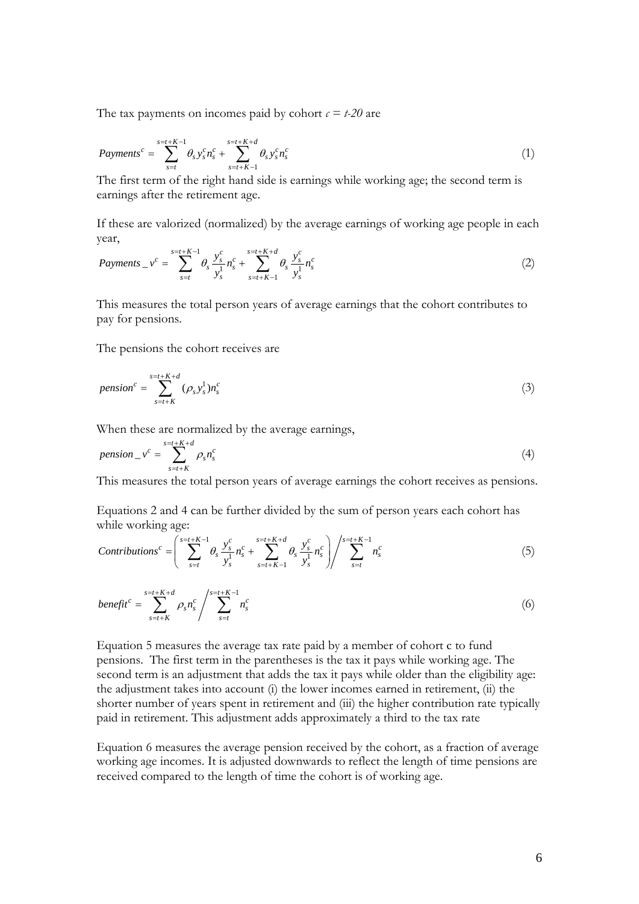The tax payments on incomes paid by cohort  $c = t-20$  are

$$
Payments^{c} = \sum_{s=t}^{s=t+K-1} \theta_{s} y_{s}^{c} n_{s}^{c} + \sum_{s=t+K-1}^{s=t+K+d} \theta_{s} y_{s}^{c} n_{s}^{c}
$$
\n(1)

The first term of the right hand side is earnings while working age; the second term is earnings after the retirement age.

If these are valorized (normalized) by the average earnings of working age people in each year,

$$
Payments \_{v}^c = \sum_{s=t}^{s=t+K-1} \theta_s \frac{y_s^c}{y_s^1} n_s^c + \sum_{s=t+K-1}^{s=t+K+d} \theta_s \frac{y_s^c}{y_s^1} n_s^c \tag{2}
$$

This measures the total person years of average earnings that the cohort contributes to pay for pensions.

The pensions the cohort receives are

$$
pension^{c} = \sum_{s=t+K}^{s=t+K+d} (\rho_s y_s^1) n_s^c
$$
\n(3)

When these are normalized by the average earnings,

$$
pension_{-}v^{c} = \sum_{s=t+K}^{s=t+K+d} \rho_{s}n_{s}^{c}
$$
\n
$$
\tag{4}
$$

This measures the total person years of average earnings the cohort receives as pensions.

Equations 2 and 4 can be further divided by the sum of person years each cohort has while working age:

$$
Continuous^{c} = \left(\sum_{s=t}^{s=t+K-1} \theta_{s} \frac{y_{s}^{c}}{y_{s}^{1}} n_{s}^{c} + \sum_{s=t+K-1}^{s=t+K+d} \theta_{s} \frac{y_{s}^{c}}{y_{s}^{1}} n_{s}^{c}\right) / \sum_{s=t}^{s=t+K-1} n_{s}^{c}
$$
(5)

$$
benefit^{c} = \sum_{s=t+K}^{s=t+K+d} \rho_s n_s^c \Bigg/ \sum_{s=t}^{s=t+K-1} n_s^c \tag{6}
$$

Equation 5 measures the average tax rate paid by a member of cohort c to fund pensions. The first term in the parentheses is the tax it pays while working age. The second term is an adjustment that adds the tax it pays while older than the eligibility age: the adjustment takes into account (i) the lower incomes earned in retirement, (ii) the shorter number of years spent in retirement and (iii) the higher contribution rate typically paid in retirement. This adjustment adds approximately a third to the tax rate

Equation 6 measures the average pension received by the cohort, as a fraction of average working age incomes. It is adjusted downwards to reflect the length of time pensions are received compared to the length of time the cohort is of working age.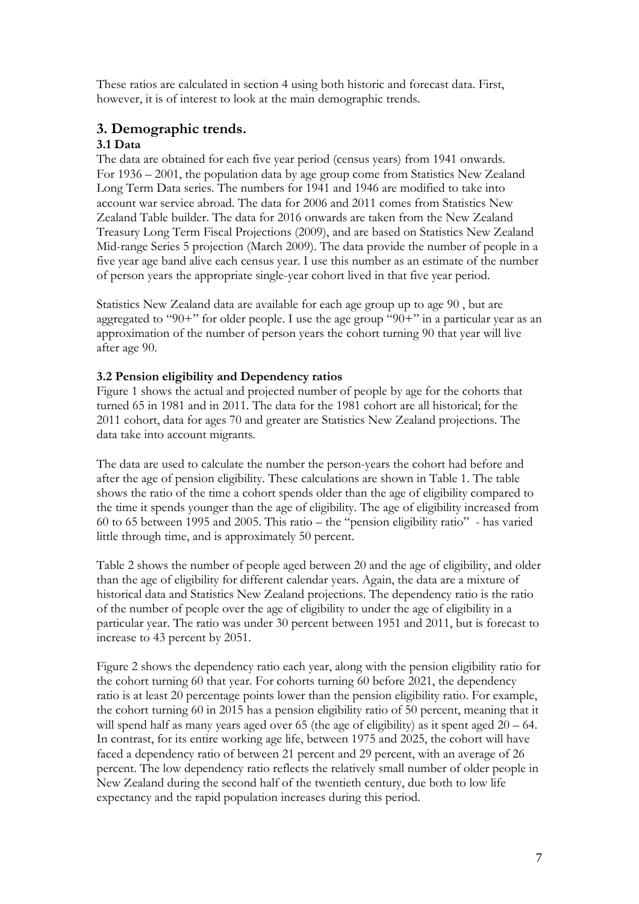These ratios are calculated in section 4 using both historic and forecast data. First, however, it is of interest to look at the main demographic trends.

## **3. Demographic trends.**

## **3.1 Data**

The data are obtained for each five year period (census years) from 1941 onwards. For 1936 – 2001, the population data by age group come from Statistics New Zealand Long Term Data series. The numbers for 1941 and 1946 are modified to take into account war service abroad. The data for 2006 and 2011 comes from Statistics New Zealand Table builder. The data for 2016 onwards are taken from the New Zealand Treasury Long Term Fiscal Projections (2009), and are based on Statistics New Zealand Mid-range Series 5 projection (March 2009). The data provide the number of people in a five year age band alive each census year. I use this number as an estimate of the number of person years the appropriate single-year cohort lived in that five year period.

Statistics New Zealand data are available for each age group up to age 90 , but are aggregated to "90+" for older people. I use the age group "90+" in a particular year as an approximation of the number of person years the cohort turning 90 that year will live after age 90.

## **3.2 Pension eligibility and Dependency ratios**

Figure 1 shows the actual and projected number of people by age for the cohorts that turned 65 in 1981 and in 2011. The data for the 1981 cohort are all historical; for the 2011 cohort, data for ages 70 and greater are Statistics New Zealand projections. The data take into account migrants.

The data are used to calculate the number the person-years the cohort had before and after the age of pension eligibility. These calculations are shown in Table 1. The table shows the ratio of the time a cohort spends older than the age of eligibility compared to the time it spends younger than the age of eligibility. The age of eligibility increased from 60 to 65 between 1995 and 2005. This ratio – the "pension eligibility ratio" - has varied little through time, and is approximately 50 percent.

Table 2 shows the number of people aged between 20 and the age of eligibility, and older than the age of eligibility for different calendar years. Again, the data are a mixture of historical data and Statistics New Zealand projections. The dependency ratio is the ratio of the number of people over the age of eligibility to under the age of eligibility in a particular year. The ratio was under 30 percent between 1951 and 2011, but is forecast to increase to 43 percent by 2051.

Figure 2 shows the dependency ratio each year, along with the pension eligibility ratio for the cohort turning 60 that year. For cohorts turning 60 before 2021, the dependency ratio is at least 20 percentage points lower than the pension eligibility ratio. For example, the cohort turning 60 in 2015 has a pension eligibility ratio of 50 percent, meaning that it will spend half as many years aged over 65 (the age of eligibility) as it spent aged  $20 - 64$ . In contrast, for its entire working age life, between 1975 and 2025, the cohort will have faced a dependency ratio of between 21 percent and 29 percent, with an average of 26 percent. The low dependency ratio reflects the relatively small number of older people in New Zealand during the second half of the twentieth century, due both to low life expectancy and the rapid population increases during this period.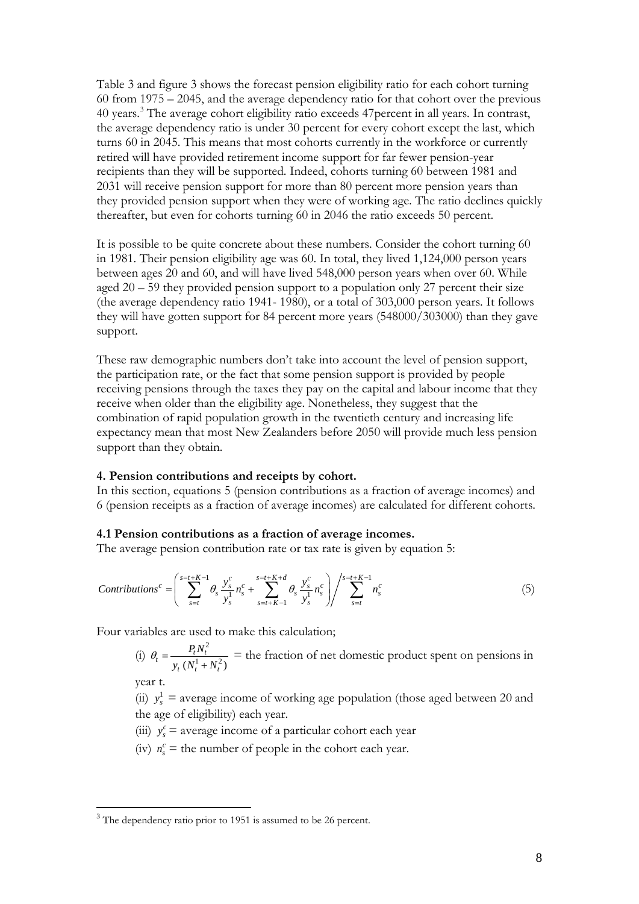Table 3 and figure 3 shows the forecast pension eligibility ratio for each cohort turning 60 from 1975 – 2045, and the average dependency ratio for that cohort over the previous 40 years.[3](#page-7-0) The average cohort eligibility ratio exceeds 47percent in all years. In contrast, the average dependency ratio is under 30 percent for every cohort except the last, which turns 60 in 2045. This means that most cohorts currently in the workforce or currently retired will have provided retirement income support for far fewer pension-year recipients than they will be supported. Indeed, cohorts turning 60 between 1981 and 2031 will receive pension support for more than 80 percent more pension years than they provided pension support when they were of working age. The ratio declines quickly thereafter, but even for cohorts turning 60 in 2046 the ratio exceeds 50 percent.

It is possible to be quite concrete about these numbers. Consider the cohort turning 60 in 1981. Their pension eligibility age was 60. In total, they lived 1,124,000 person years between ages 20 and 60, and will have lived 548,000 person years when over 60. While aged 20 – 59 they provided pension support to a population only 27 percent their size (the average dependency ratio 1941- 1980), or a total of 303,000 person years. It follows they will have gotten support for 84 percent more years (548000/303000) than they gave support.

These raw demographic numbers don't take into account the level of pension support, the participation rate, or the fact that some pension support is provided by people receiving pensions through the taxes they pay on the capital and labour income that they receive when older than the eligibility age. Nonetheless, they suggest that the combination of rapid population growth in the twentieth century and increasing life expectancy mean that most New Zealanders before 2050 will provide much less pension support than they obtain.

#### **4. Pension contributions and receipts by cohort.**

In this section, equations 5 (pension contributions as a fraction of average incomes) and 6 (pension receipts as a fraction of average incomes) are calculated for different cohorts.

#### **4.1 Pension contributions as a fraction of average incomes.**

The average pension contribution rate or tax rate is given by equation 5:

$$
Continuous^{c} = \left(\sum_{s=t}^{s=t+K-1} \theta_{s} \frac{y_{s}^{c}}{y_{s}^{1}} n_{s}^{c} + \sum_{s=t+K-1}^{s=t+K+d} \theta_{s} \frac{y_{s}^{c}}{y_{s}^{1}} n_{s}^{c}\right) / \sum_{s=t}^{s=t+K-1} n_{s}^{c}
$$
(5)

Four variables are used to make this calculation;

(i)  $\theta_t = \frac{P_t N_t^2}{\sigma_t^2}$  $P_t = \frac{I_t N_t}{y_t (N_t^1 + N_t^2)}$  $t^{(IV_t + IV_t)}$  $P_t N$  $\theta_t = \frac{I_t N_t}{y_t (N_t^1 + N_t^2)}$  = the fraction of net domestic product spent on pensions in

year t.

(ii)  $y_s^1$  = average income of working age population (those aged between 20 and the age of eligibility) each year.

- (iii)  $y_s^c$  = average income of a particular cohort each year
- (iv)  $n_s^c$  = the number of people in the cohort each year.

<span id="page-7-0"></span><sup>&</sup>lt;sup>3</sup> The dependency ratio prior to 1951 is assumed to be 26 percent.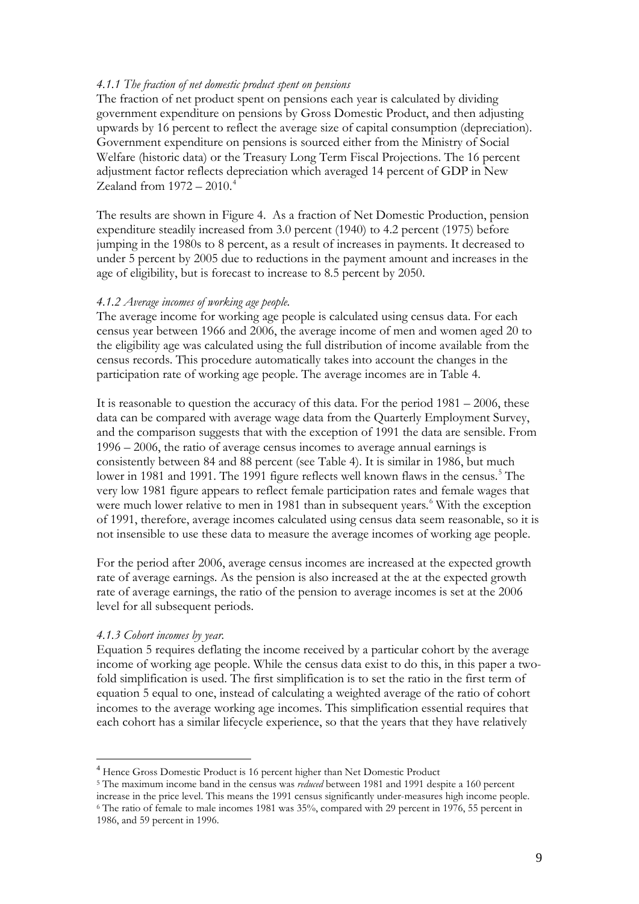#### *4.1.1 The fraction of net domestic product spent on pensions*

The fraction of net product spent on pensions each year is calculated by dividing government expenditure on pensions by Gross Domestic Product, and then adjusting upwards by 16 percent to reflect the average size of capital consumption (depreciation). Government expenditure on pensions is sourced either from the Ministry of Social Welfare (historic data) or the Treasury Long Term Fiscal Projections. The 16 percent adjustment factor reflects depreciation which averaged 14 percent of GDP in New Zealand from  $1972 - 2010$ .<sup>[4](#page-8-0)</sup>

The results are shown in Figure 4. As a fraction of Net Domestic Production, pension expenditure steadily increased from 3.0 percent (1940) to 4.2 percent (1975) before jumping in the 1980s to 8 percent, as a result of increases in payments. It decreased to under 5 percent by 2005 due to reductions in the payment amount and increases in the age of eligibility, but is forecast to increase to 8.5 percent by 2050.

#### *4.1.2 Average incomes of working age people.*

The average income for working age people is calculated using census data. For each census year between 1966 and 2006, the average income of men and women aged 20 to the eligibility age was calculated using the full distribution of income available from the census records. This procedure automatically takes into account the changes in the participation rate of working age people. The average incomes are in Table 4.

It is reasonable to question the accuracy of this data. For the period  $1981 - 2006$ , these data can be compared with average wage data from the Quarterly Employment Survey, and the comparison suggests that with the exception of 1991 the data are sensible. From 1996 – 2006, the ratio of average census incomes to average annual earnings is consistently between 84 and 88 percent (see Table 4). It is similar in 1986, but much lower in 1981 and 1991. The 1991 figure reflects well known flaws in the census.<sup>[5](#page-8-1)</sup> The very low 1981 figure appears to reflect female participation rates and female wages that were much lower relative to men in 1981 than in subsequent years.<sup>[6](#page-8-2)</sup> With the exception of 1991, therefore, average incomes calculated using census data seem reasonable, so it is not insensible to use these data to measure the average incomes of working age people.

For the period after 2006, average census incomes are increased at the expected growth rate of average earnings. As the pension is also increased at the at the expected growth rate of average earnings, the ratio of the pension to average incomes is set at the 2006 level for all subsequent periods.

#### *4.1.3 Cohort incomes by year.*

Equation 5 requires deflating the income received by a particular cohort by the average income of working age people. While the census data exist to do this, in this paper a twofold simplification is used. The first simplification is to set the ratio in the first term of equation 5 equal to one, instead of calculating a weighted average of the ratio of cohort incomes to the average working age incomes. This simplification essential requires that each cohort has a similar lifecycle experience, so that the years that they have relatively

<span id="page-8-0"></span> <sup>4</sup> Hence Gross Domestic Product is 16 percent higher than Net Domestic Product

<span id="page-8-2"></span><span id="page-8-1"></span><sup>&</sup>lt;sup>5</sup> The maximum income band in the census was *reduced* between 1981 and 1991 despite a 160 percent increase in the price level. This means the 1991 census significantly under-measures high income people. <sup>6</sup> The ratio of female to male incomes 1981 was  $35%$ , compared with 29 percent in 1976, 55 percent in 1986, and 59 percent in 1996.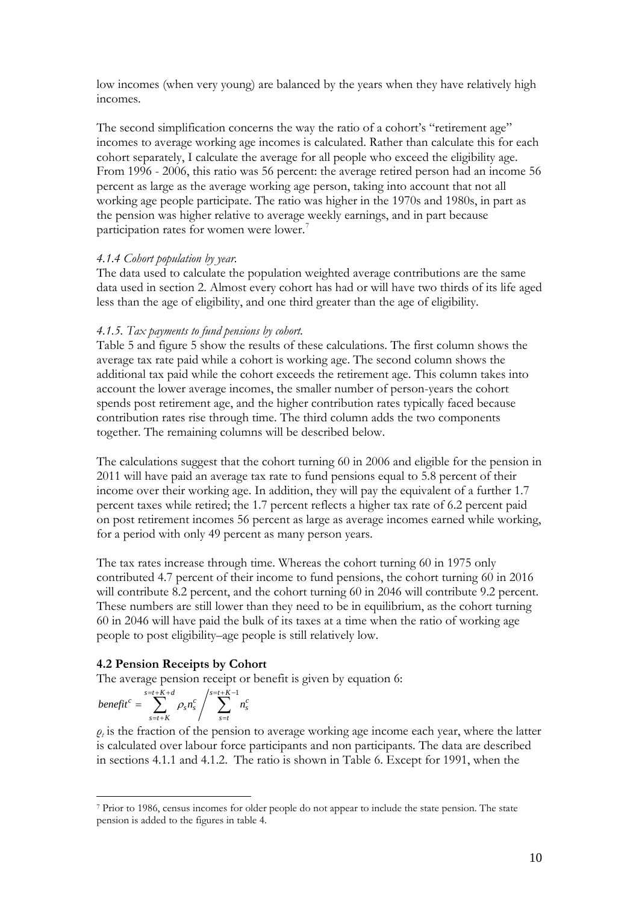low incomes (when very young) are balanced by the years when they have relatively high incomes.

The second simplification concerns the way the ratio of a cohort's "retirement age" incomes to average working age incomes is calculated. Rather than calculate this for each cohort separately, I calculate the average for all people who exceed the eligibility age. From 1996 - 2006, this ratio was 56 percent: the average retired person had an income 56 percent as large as the average working age person, taking into account that not all working age people participate. The ratio was higher in the 1970s and 1980s, in part as the pension was higher relative to average weekly earnings, and in part because participation rates for women were lower.<sup>[7](#page-9-0)</sup>

#### *4.1.4 Cohort population by year.*

The data used to calculate the population weighted average contributions are the same data used in section 2. Almost every cohort has had or will have two thirds of its life aged less than the age of eligibility, and one third greater than the age of eligibility.

#### *4.1.5. Tax payments to fund pensions by cohort.*

Table 5 and figure 5 show the results of these calculations. The first column shows the average tax rate paid while a cohort is working age. The second column shows the additional tax paid while the cohort exceeds the retirement age. This column takes into account the lower average incomes, the smaller number of person-years the cohort spends post retirement age, and the higher contribution rates typically faced because contribution rates rise through time. The third column adds the two components together. The remaining columns will be described below.

The calculations suggest that the cohort turning 60 in 2006 and eligible for the pension in 2011 will have paid an average tax rate to fund pensions equal to 5.8 percent of their income over their working age. In addition, they will pay the equivalent of a further 1.7 percent taxes while retired; the 1.7 percent reflects a higher tax rate of 6.2 percent paid on post retirement incomes 56 percent as large as average incomes earned while working, for a period with only 49 percent as many person years.

The tax rates increase through time. Whereas the cohort turning 60 in 1975 only contributed 4.7 percent of their income to fund pensions, the cohort turning 60 in 2016 will contribute 8.2 percent, and the cohort turning 60 in 2046 will contribute 9.2 percent. These numbers are still lower than they need to be in equilibrium, as the cohort turning 60 in 2046 will have paid the bulk of its taxes at a time when the ratio of working age people to post eligibility–age people is still relatively low.

#### **4.2 Pension Receipts by Cohort**

The average pension receipt or benefit is given by equation 6:

$$
benefit^c = \sum_{s=t+K}^{s=t+K+d} \rho_s n_s^c / \sum_{s=t}^{s=t+K-1} n_s^c
$$

 $\rho_t$  is the fraction of the pension to average working age income each year, where the latter is calculated over labour force participants and non participants. The data are described in sections 4.1.1 and 4.1.2. The ratio is shown in Table 6. Except for 1991, when the

<span id="page-9-0"></span><sup>-</sup><sup>7</sup> Prior to 1986, census incomes for older people do not appear to include the state pension. The state pension is added to the figures in table 4.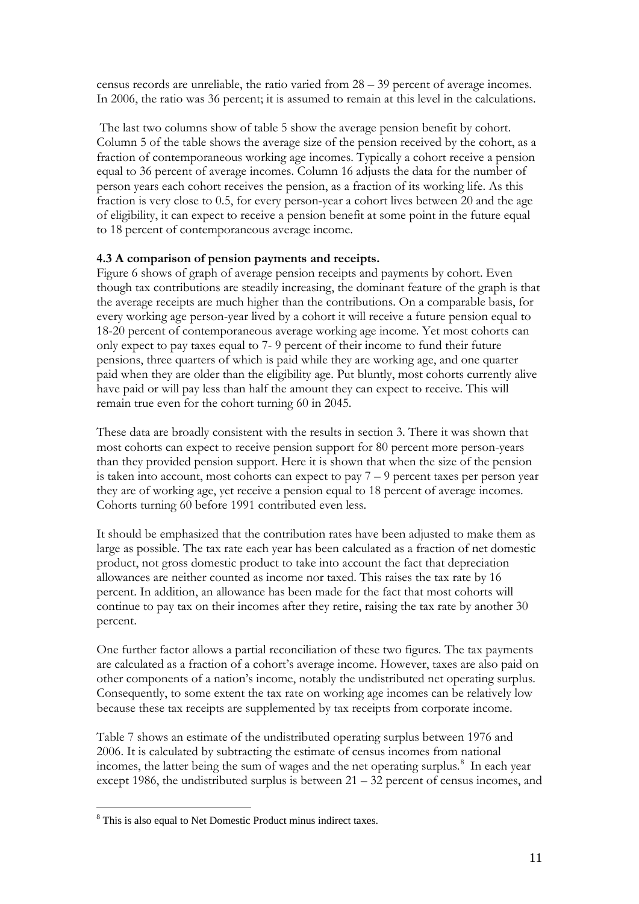census records are unreliable, the ratio varied from 28 – 39 percent of average incomes. In 2006, the ratio was 36 percent; it is assumed to remain at this level in the calculations.

The last two columns show of table 5 show the average pension benefit by cohort. Column 5 of the table shows the average size of the pension received by the cohort, as a fraction of contemporaneous working age incomes. Typically a cohort receive a pension equal to 36 percent of average incomes. Column 16 adjusts the data for the number of person years each cohort receives the pension, as a fraction of its working life. As this fraction is very close to 0.5, for every person-year a cohort lives between 20 and the age of eligibility, it can expect to receive a pension benefit at some point in the future equal to 18 percent of contemporaneous average income.

#### **4.3 A comparison of pension payments and receipts.**

Figure 6 shows of graph of average pension receipts and payments by cohort. Even though tax contributions are steadily increasing, the dominant feature of the graph is that the average receipts are much higher than the contributions. On a comparable basis, for every working age person-year lived by a cohort it will receive a future pension equal to 18-20 percent of contemporaneous average working age income. Yet most cohorts can only expect to pay taxes equal to 7- 9 percent of their income to fund their future pensions, three quarters of which is paid while they are working age, and one quarter paid when they are older than the eligibility age. Put bluntly, most cohorts currently alive have paid or will pay less than half the amount they can expect to receive. This will remain true even for the cohort turning 60 in 2045.

These data are broadly consistent with the results in section 3. There it was shown that most cohorts can expect to receive pension support for 80 percent more person-years than they provided pension support. Here it is shown that when the size of the pension is taken into account, most cohorts can expect to pay  $7 - 9$  percent taxes per person year they are of working age, yet receive a pension equal to 18 percent of average incomes. Cohorts turning 60 before 1991 contributed even less.

It should be emphasized that the contribution rates have been adjusted to make them as large as possible. The tax rate each year has been calculated as a fraction of net domestic product, not gross domestic product to take into account the fact that depreciation allowances are neither counted as income nor taxed. This raises the tax rate by 16 percent. In addition, an allowance has been made for the fact that most cohorts will continue to pay tax on their incomes after they retire, raising the tax rate by another 30 percent.

One further factor allows a partial reconciliation of these two figures. The tax payments are calculated as a fraction of a cohort's average income. However, taxes are also paid on other components of a nation's income, notably the undistributed net operating surplus. Consequently, to some extent the tax rate on working age incomes can be relatively low because these tax receipts are supplemented by tax receipts from corporate income.

Table 7 shows an estimate of the undistributed operating surplus between 1976 and 2006. It is calculated by subtracting the estimate of census incomes from national incomes, the latter being the sum of wages and the net operating surplus.<sup>[8](#page-10-0)</sup> In each year except 1986, the undistributed surplus is between 21 – 32 percent of census incomes, and

<span id="page-10-0"></span> <sup>8</sup> This is also equal to Net Domestic Product minus indirect taxes.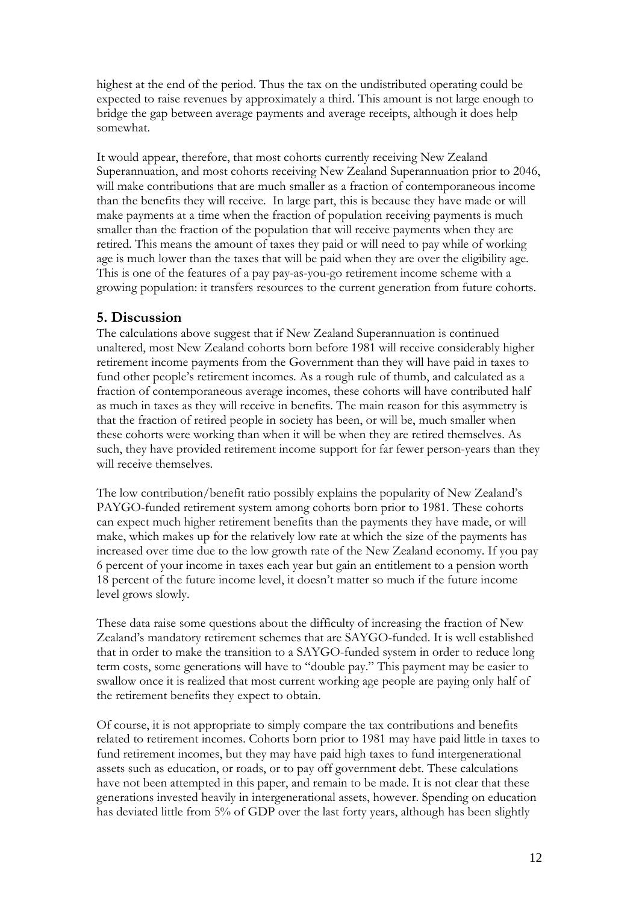highest at the end of the period. Thus the tax on the undistributed operating could be expected to raise revenues by approximately a third. This amount is not large enough to bridge the gap between average payments and average receipts, although it does help somewhat.

It would appear, therefore, that most cohorts currently receiving New Zealand Superannuation, and most cohorts receiving New Zealand Superannuation prior to 2046, will make contributions that are much smaller as a fraction of contemporaneous income than the benefits they will receive. In large part, this is because they have made or will make payments at a time when the fraction of population receiving payments is much smaller than the fraction of the population that will receive payments when they are retired. This means the amount of taxes they paid or will need to pay while of working age is much lower than the taxes that will be paid when they are over the eligibility age. This is one of the features of a pay pay-as-you-go retirement income scheme with a growing population: it transfers resources to the current generation from future cohorts.

## **5. Discussion**

The calculations above suggest that if New Zealand Superannuation is continued unaltered, most New Zealand cohorts born before 1981 will receive considerably higher retirement income payments from the Government than they will have paid in taxes to fund other people's retirement incomes. As a rough rule of thumb, and calculated as a fraction of contemporaneous average incomes, these cohorts will have contributed half as much in taxes as they will receive in benefits. The main reason for this asymmetry is that the fraction of retired people in society has been, or will be, much smaller when these cohorts were working than when it will be when they are retired themselves. As such, they have provided retirement income support for far fewer person-years than they will receive themselves.

The low contribution/benefit ratio possibly explains the popularity of New Zealand's PAYGO-funded retirement system among cohorts born prior to 1981. These cohorts can expect much higher retirement benefits than the payments they have made, or will make, which makes up for the relatively low rate at which the size of the payments has increased over time due to the low growth rate of the New Zealand economy. If you pay 6 percent of your income in taxes each year but gain an entitlement to a pension worth 18 percent of the future income level, it doesn't matter so much if the future income level grows slowly.

These data raise some questions about the difficulty of increasing the fraction of New Zealand's mandatory retirement schemes that are SAYGO-funded. It is well established that in order to make the transition to a SAYGO-funded system in order to reduce long term costs, some generations will have to "double pay." This payment may be easier to swallow once it is realized that most current working age people are paying only half of the retirement benefits they expect to obtain.

Of course, it is not appropriate to simply compare the tax contributions and benefits related to retirement incomes. Cohorts born prior to 1981 may have paid little in taxes to fund retirement incomes, but they may have paid high taxes to fund intergenerational assets such as education, or roads, or to pay off government debt. These calculations have not been attempted in this paper, and remain to be made. It is not clear that these generations invested heavily in intergenerational assets, however. Spending on education has deviated little from 5% of GDP over the last forty years, although has been slightly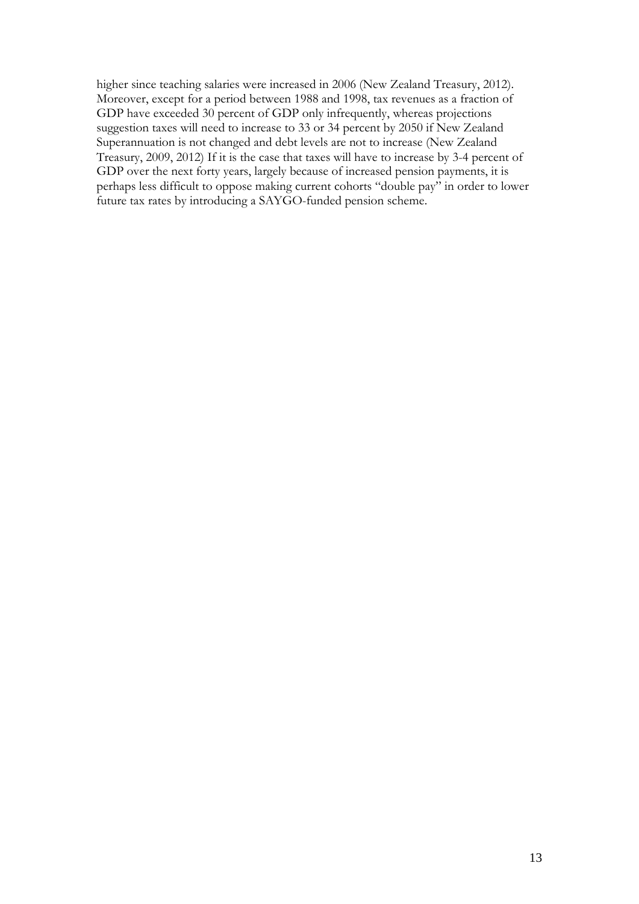higher since teaching salaries were increased in 2006 (New Zealand Treasury, 2012). Moreover, except for a period between 1988 and 1998, tax revenues as a fraction of GDP have exceeded 30 percent of GDP only infrequently, whereas projections suggestion taxes will need to increase to 33 or 34 percent by 2050 if New Zealand Superannuation is not changed and debt levels are not to increase (New Zealand Treasury, 2009, 2012) If it is the case that taxes will have to increase by 3-4 percent of GDP over the next forty years, largely because of increased pension payments, it is perhaps less difficult to oppose making current cohorts "double pay" in order to lower future tax rates by introducing a SAYGO-funded pension scheme.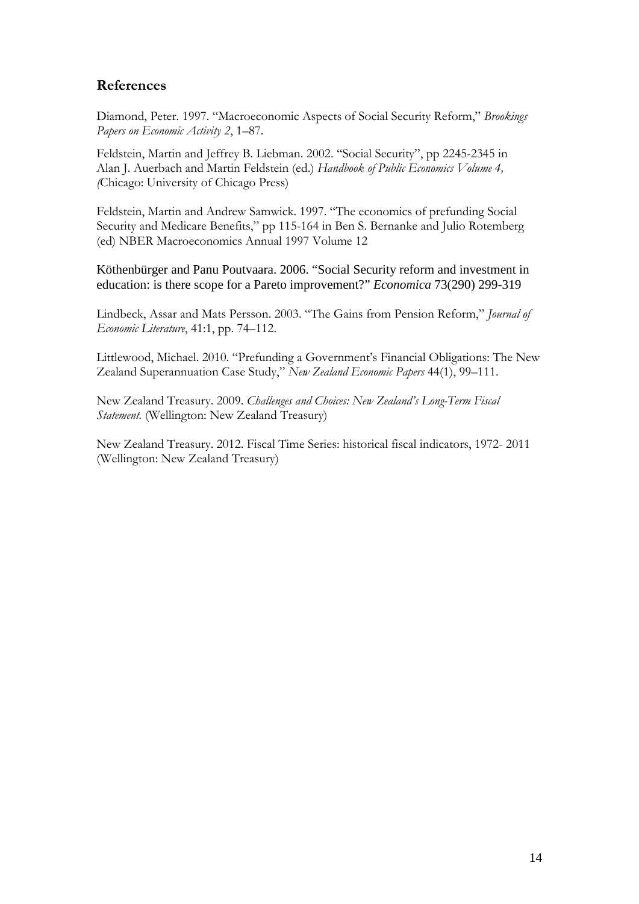# **References**

Diamond, Peter. 1997. "Macroeconomic Aspects of Social Security Reform," *Brookings Papers on Economic Activity 2*, 1–87.

Feldstein, Martin and Jeffrey B. Liebman. 2002. "Social Security", pp 2245-2345 in Alan J. Auerbach and Martin Feldstein (ed.) *Handbook of Public Economics Volume 4, (*Chicago: University of Chicago Press)

Feldstein, Martin and Andrew Samwick. 1997. "The economics of prefunding Social Security and Medicare Benefits," pp 115-164 in Ben S. Bernanke and Julio Rotemberg (ed) NBER Macroeconomics Annual 1997 Volume 12

Köthenbürger and Panu Poutvaara. 2006. "Social Security reform and investment in education: is there scope for a Pareto improvement?" *Economica* 73(290) 299-319

Lindbeck, Assar and Mats Persson. 2003. "The Gains from Pension Reform," *Journal of Economic Literature*, 41:1, pp. 74–112.

Littlewood, Michael. 2010. "Prefunding a Government's Financial Obligations: The New Zealand Superannuation Case Study," *New Zealand Economic Papers* 44(1), 99–111.

New Zealand Treasury. 2009. *Challenges and Choices: New Zealand's Long-Term Fiscal Statement.* (Wellington: New Zealand Treasury)

New Zealand Treasury. 2012. Fiscal Time Series: historical fiscal indicators, 1972- 2011 (Wellington: New Zealand Treasury)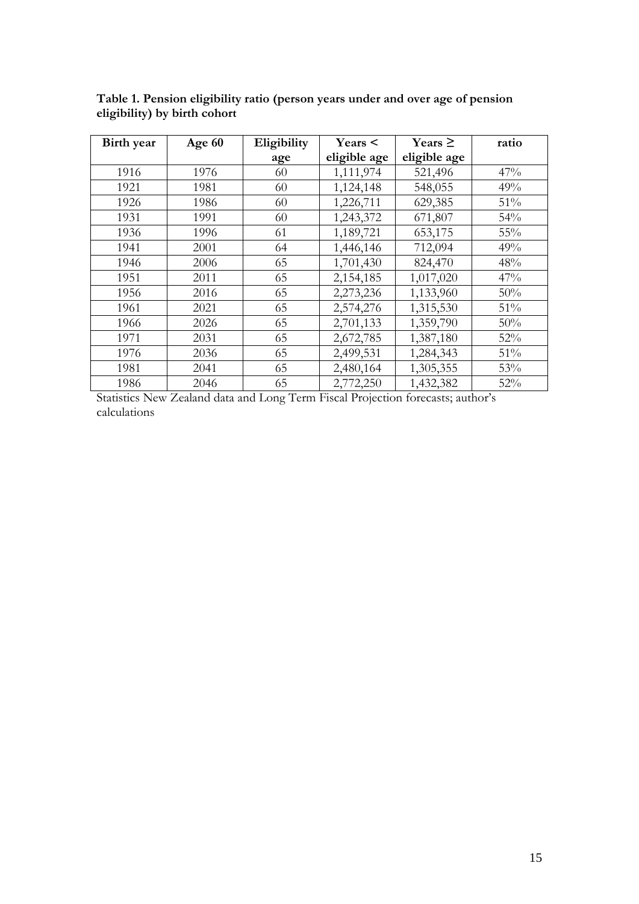| Birth year | Age 60 | Eligibility | $\text{Years}$ | Years $\geq$ | ratio |
|------------|--------|-------------|----------------|--------------|-------|
|            |        | age         | eligible age   | eligible age |       |
| 1916       | 1976   | 60          | 1,111,974      | 521,496      | 47%   |
| 1921       | 1981   | 60          | 1,124,148      | 548,055      | 49%   |
| 1926       | 1986   | 60          | 1,226,711      | 629,385      | 51%   |
| 1931       | 1991   | 60          | 1,243,372      | 671,807      | 54%   |
| 1936       | 1996   | 61          | 1,189,721      | 653,175      | 55%   |
| 1941       | 2001   | 64          | 1,446,146      | 712,094      | 49%   |
| 1946       | 2006   | 65          | 1,701,430      | 824,470      | 48%   |
| 1951       | 2011   | 65          | 2,154,185      | 1,017,020    | 47%   |
| 1956       | 2016   | 65          | 2,273,236      | 1,133,960    | 50%   |
| 1961       | 2021   | 65          | 2,574,276      | 1,315,530    | 51%   |
| 1966       | 2026   | 65          | 2,701,133      | 1,359,790    | 50%   |
| 1971       | 2031   | 65          | 2,672,785      | 1,387,180    | 52%   |
| 1976       | 2036   | 65          | 2,499,531      | 1,284,343    | 51%   |
| 1981       | 2041   | 65          | 2,480,164      | 1,305,355    | 53%   |
| 1986       | 2046   | 65          | 2,772,250      | 1,432,382    | 52%   |

**Table 1. Pension eligibility ratio (person years under and over age of pension eligibility) by birth cohort**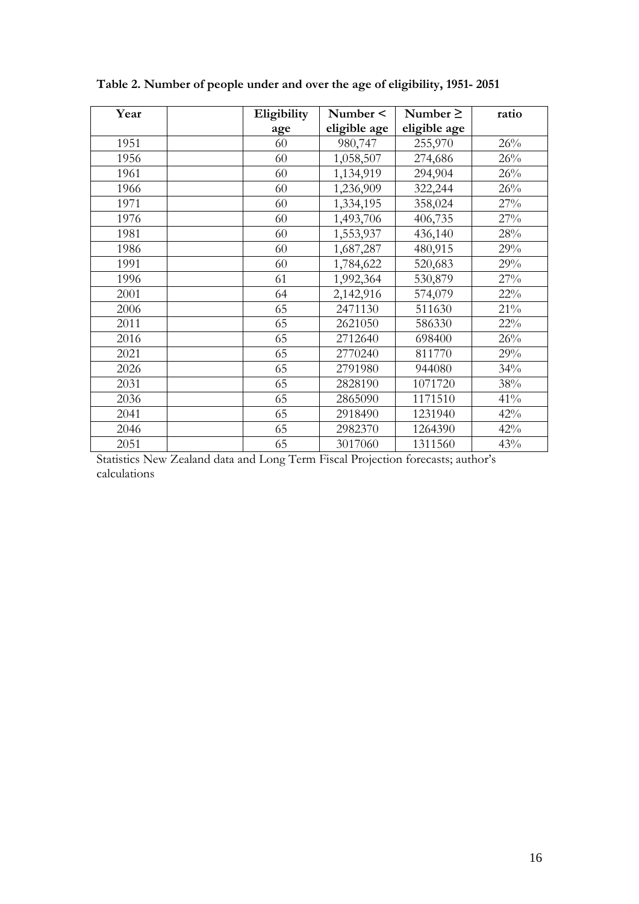| Year | Eligibility | Number <     | Number $\geq$ | ratio  |
|------|-------------|--------------|---------------|--------|
|      | age         | eligible age | eligible age  |        |
| 1951 | 60          | 980,747      | 255,970       | 26%    |
| 1956 | 60          | 1,058,507    | 274,686       | 26%    |
| 1961 | 60          | 1,134,919    | 294,904       | 26%    |
| 1966 | 60          | 1,236,909    | 322,244       | 26%    |
| 1971 | 60          | 1,334,195    | 358,024       | 27%    |
| 1976 | 60          | 1,493,706    | 406,735       | 27%    |
| 1981 | 60          | 1,553,937    | 436,140       | 28%    |
| 1986 | 60          | 1,687,287    | 480,915       | 29%    |
| 1991 | 60          | 1,784,622    | 520,683       | 29%    |
| 1996 | 61          | 1,992,364    | 530,879       | 27%    |
| 2001 | 64          | 2,142,916    | 574,079       | 22%    |
| 2006 | 65          | 2471130      | 511630        | $21\%$ |
| 2011 | 65          | 2621050      | 586330        | $22\%$ |
| 2016 | 65          | 2712640      | 698400        | 26%    |
| 2021 | 65          | 2770240      | 811770        | 29%    |
| 2026 | 65          | 2791980      | 944080        | 34%    |
| 2031 | 65          | 2828190      | 1071720       | 38%    |
| 2036 | 65          | 2865090      | 1171510       | 41%    |
| 2041 | 65          | 2918490      | 1231940       | 42%    |
| 2046 | 65          | 2982370      | 1264390       | 42%    |
| 2051 | 65          | 3017060      | 1311560       | 43%    |

**Table 2. Number of people under and over the age of eligibility, 1951- 2051**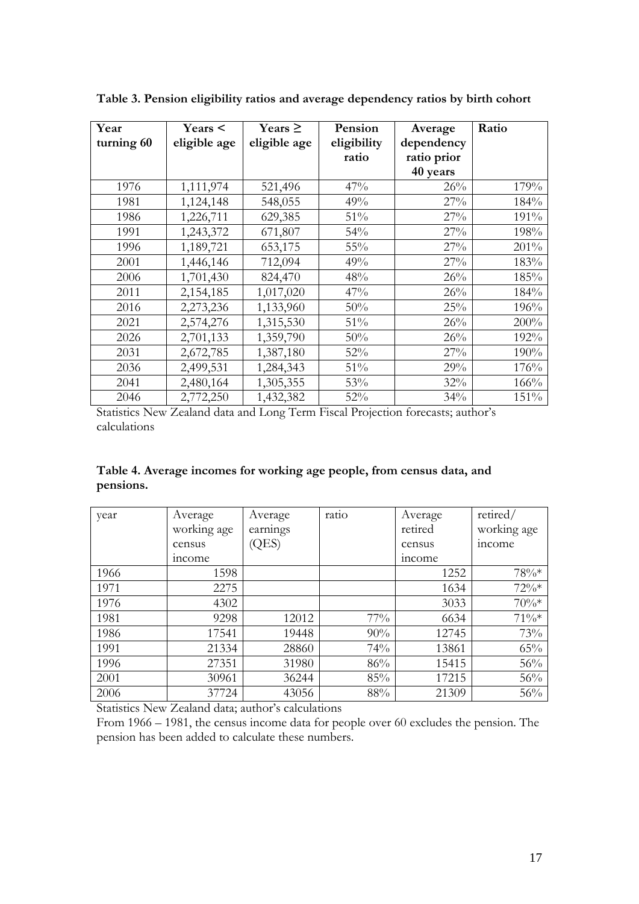| Year       | Years <      | Years $\geq$ | Pension     | Average     | Ratio |
|------------|--------------|--------------|-------------|-------------|-------|
| turning 60 | eligible age | eligible age | eligibility | dependency  |       |
|            |              |              | ratio       | ratio prior |       |
|            |              |              |             | 40 years    |       |
| 1976       | 1,111,974    | 521,496      | 47%         | 26%         | 179%  |
| 1981       | 1,124,148    | 548,055      | 49%         | 27%         | 184%  |
| 1986       | 1,226,711    | 629,385      | 51%         | 27%         | 191%  |
| 1991       | 1,243,372    | 671,807      | 54%         | 27%         | 198%  |
| 1996       | 1,189,721    | 653,175      | 55%         | 27%         | 201%  |
| 2001       | 1,446,146    | 712,094      | 49%         | 27%         | 183%  |
| 2006       | 1,701,430    | 824,470      | 48%         | 26%         | 185%  |
| 2011       | 2,154,185    | 1,017,020    | 47%         | 26%         | 184%  |
| 2016       | 2,273,236    | 1,133,960    | 50%         | 25%         | 196%  |
| 2021       | 2,574,276    | 1,315,530    | 51%         | 26%         | 200%  |
| 2026       | 2,701,133    | 1,359,790    | 50%         | 26%         | 192%  |
| 2031       | 2,672,785    | 1,387,180    | 52%         | 27%         | 190%  |
| 2036       | 2,499,531    | 1,284,343    | 51%         | 29%         | 176%  |
| 2041       | 2,480,164    | 1,305,355    | 53%         | 32%         | 166%  |
| 2046       | 2,772,250    | 1,432,382    | 52%         | 34%         | 151%  |

**Table 3. Pension eligibility ratios and average dependency ratios by birth cohort**

**Table 4. Average incomes for working age people, from census data, and pensions.**

| year | Average       | Average  | ratio  | Average       | retired/    |
|------|---------------|----------|--------|---------------|-------------|
|      | working age   | earnings |        | retired       | working age |
|      | census        | (QES)    |        | census        | income      |
|      | <i>income</i> |          |        | <i>income</i> |             |
| 1966 | 1598          |          |        | 1252          | $78\%*$     |
| 1971 | 2275          |          |        | 1634          | $72\%*$     |
| 1976 | 4302          |          |        | 3033          | $70\%*$     |
| 1981 | 9298          | 12012    | $77\%$ | 6634          | $71\%*$     |
| 1986 | 17541         | 19448    | 90%    | 12745         | 73%         |
| 1991 | 21334         | 28860    | 74%    | 13861         | 65%         |
| 1996 | 27351         | 31980    | 86%    | 15415         | $56\%$      |
| 2001 | 30961         | 36244    | 85%    | 17215         | 56%         |
| 2006 | 37724         | 43056    | 88%    | 21309         | 56%         |

Statistics New Zealand data; author's calculations

From 1966 – 1981, the census income data for people over 60 excludes the pension. The pension has been added to calculate these numbers.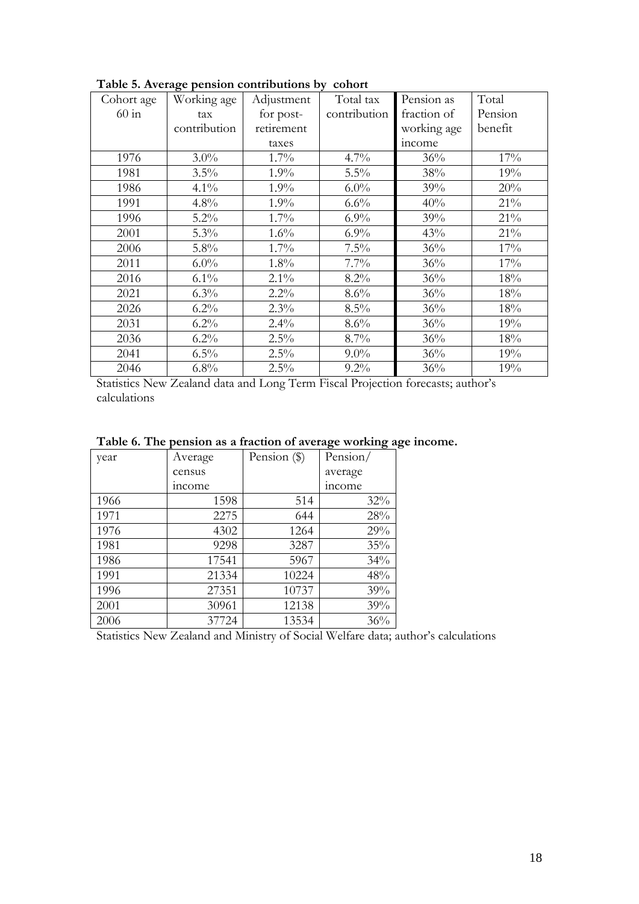| Cohort age | Working age  | Adjustment | Total tax    | Pension as  | Total   |
|------------|--------------|------------|--------------|-------------|---------|
| $60$ in    | tax          | for post-  | contribution | fraction of | Pension |
|            | contribution | retirement |              | working age | benefit |
|            |              | taxes      |              | income      |         |
| 1976       | $3.0\%$      | 1.7%       | 4.7%         | 36%         | 17%     |
| 1981       | 3.5%         | 1.9%       | 5.5%         | 38%         | 19%     |
| 1986       | $4.1\%$      | 1.9%       | $6.0\%$      | 39%         | 20%     |
| 1991       | 4.8%         | 1.9%       | 6.6%         | 40%         | 21%     |
| 1996       | $5.2\%$      | 1.7%       | 6.9%         | 39%         | 21%     |
| 2001       | 5.3%         | 1.6%       | 6.9%         | 43%         | 21%     |
| 2006       | 5.8%         | 1.7%       | 7.5%         | 36%         | 17%     |
| 2011       | $6.0\%$      | 1.8%       | $7.7\%$      | 36%         | 17%     |
| 2016       | $6.1\%$      | $2.1\%$    | 8.2%         | 36%         | 18%     |
| 2021       | $6.3\%$      | 2.2%       | 8.6%         | 36%         | 18%     |
| 2026       | $6.2\%$      | 2.3%       | 8.5%         | 36%         | 18%     |
| 2031       | $6.2\%$      | 2.4%       | 8.6%         | 36%         | 19%     |
| 2036       | $6.2\%$      | 2.5%       | 8.7%         | 36%         | 18%     |
| 2041       | $6.5\%$      | 2.5%       | $9.0\%$      | 36%         | 19%     |
| 2046       | 6.8%         | 2.5%       | $9.2\%$      | 36%         | 19%     |

**Table 5. Average pension contributions by cohort**

|  |  |  | Table 6. The pension as a fraction of average working age income. |
|--|--|--|-------------------------------------------------------------------|
|  |  |  |                                                                   |

| year | Average | Pension $(\$)$ | Pension/ |  |
|------|---------|----------------|----------|--|
|      | census  |                | average  |  |
|      | income  |                | income   |  |
| 1966 | 1598    | 514            | 32%      |  |
| 1971 | 2275    | 644            | 28%      |  |
| 1976 | 4302    | 1264           | 29%      |  |
| 1981 | 9298    | 3287           | 35%      |  |
| 1986 | 17541   | 5967           | 34%      |  |
| 1991 | 21334   | 10224          | 48%      |  |
| 1996 | 27351   | 10737          | 39%      |  |
| 2001 | 30961   | 12138          | 39%      |  |
| 2006 | 37724   | 13534          | 36%      |  |

Statistics New Zealand and Ministry of Social Welfare data; author's calculations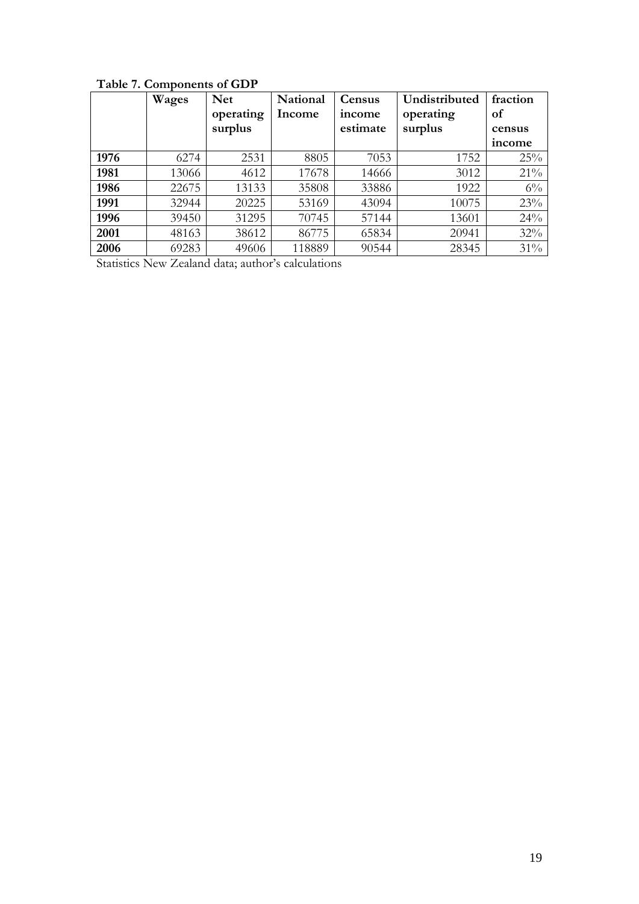|      | Wages | <b>Net</b> | <b>National</b> | Census   | Undistributed | fraction |
|------|-------|------------|-----------------|----------|---------------|----------|
|      |       | operating  | Income          | income   | operating     | of       |
|      |       | surplus    |                 | estimate | surplus       | census   |
|      |       |            |                 |          |               | income   |
| 1976 | 6274  | 2531       | 8805            | 7053     | 1752          | 25%      |
| 1981 | 13066 | 4612       | 17678           | 14666    | 3012          | 21%      |
| 1986 | 22675 | 13133      | 35808           | 33886    | 1922          | $6\%$    |
| 1991 | 32944 | 20225      | 53169           | 43094    | 10075         | 23%      |
| 1996 | 39450 | 31295      | 70745           | 57144    | 13601         | 24%      |
| 2001 | 48163 | 38612      | 86775           | 65834    | 20941         | 32%      |
| 2006 | 69283 | 49606      | 118889          | 90544    | 28345         | 31%      |

# **Table 7. Components of GDP**

Statistics New Zealand data; author's calculations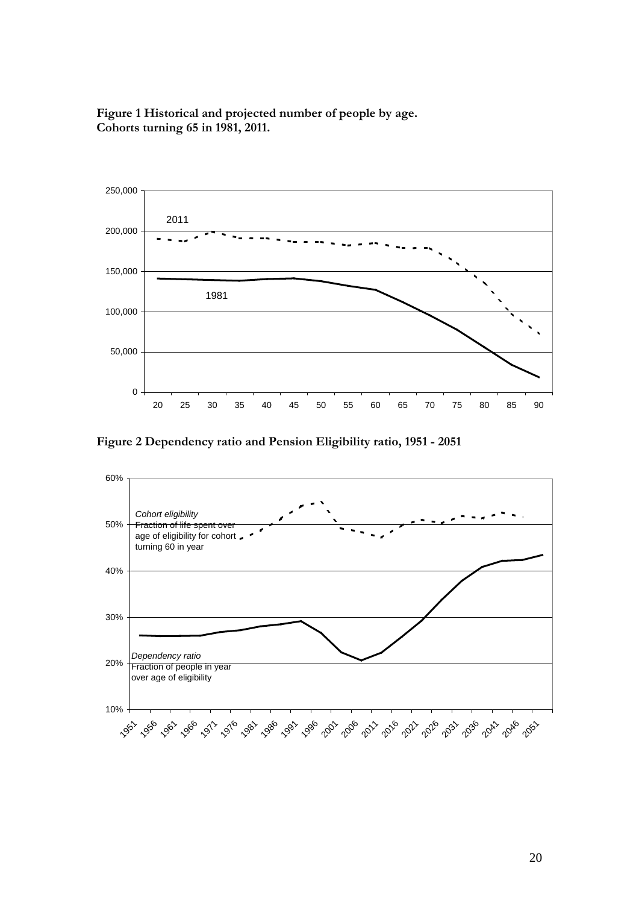**Figure 1 Historical and projected number of people by age. Cohorts turning 65 in 1981, 2011.**



**Figure 2 Dependency ratio and Pension Eligibility ratio, 1951 - 2051**

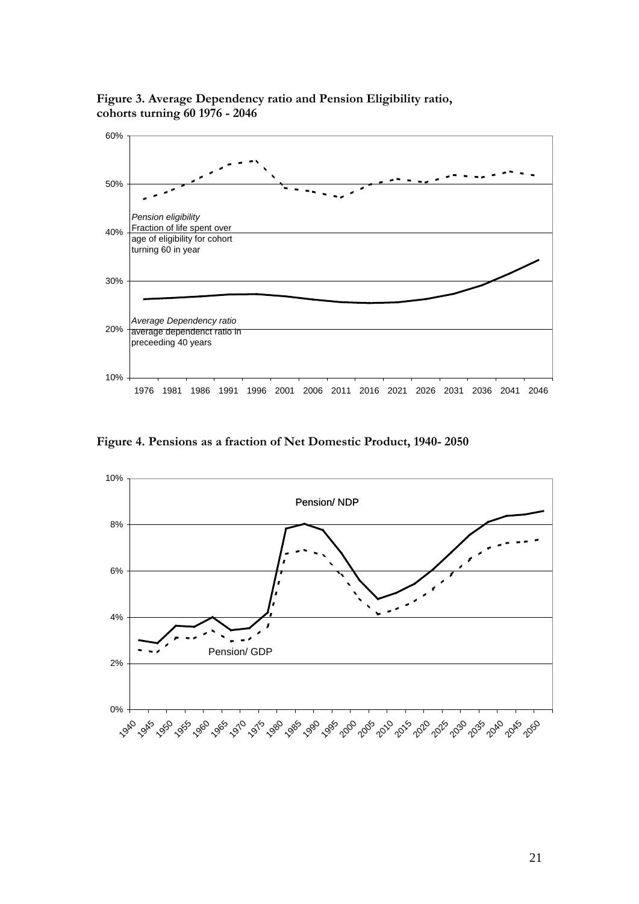**Figure 3. Average Dependency ratio and Pension Eligibility ratio, cohorts turning 60 1976 - 2046**



**Figure 4. Pensions as a fraction of Net Domestic Product, 1940- 2050**